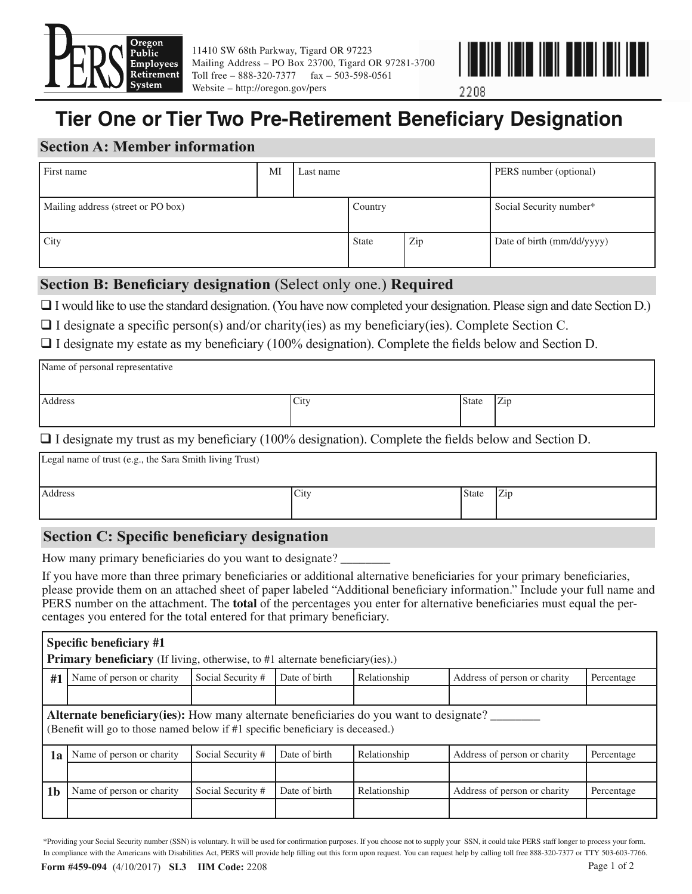

11410 SW 68th Parkway, Tigard OR 97223 Mailing Address – PO Box 23700, Tigard OR 97281-3700 Toll free – 888-320-7377 fax – 503-598-0561 Website – http://oregon.gov/pers



2208

# **Tier One or Tier Two Pre-Retirement Beneficiary Designation**

# **Section A: Member information**

| First name                         | MI | Last name |              |     | PERS number (optional)     |
|------------------------------------|----|-----------|--------------|-----|----------------------------|
| Mailing address (street or PO box) |    |           | Country      |     | Social Security number*    |
| City                               |    |           | <b>State</b> | Zip | Date of birth (mm/dd/yyyy) |

# **Section B: Beneficiary designation** (Select only one.) **Required**

I would like to use the standard designation. (You have now completed your designation. Please sign and date Section D.)

 $\Box$  I designate a specific person(s) and/or charity(ies) as my beneficiary(ies). Complete Section C.

 $\Box$  I designate my estate as my beneficiary (100% designation). Complete the fields below and Section D.

| Name of personal representative                                                                                                                                                                                                                                                                                                                                                                                                                                                                                  |             |              |     |  |  |
|------------------------------------------------------------------------------------------------------------------------------------------------------------------------------------------------------------------------------------------------------------------------------------------------------------------------------------------------------------------------------------------------------------------------------------------------------------------------------------------------------------------|-------------|--------------|-----|--|--|
|                                                                                                                                                                                                                                                                                                                                                                                                                                                                                                                  |             |              |     |  |  |
| Address                                                                                                                                                                                                                                                                                                                                                                                                                                                                                                          | <b>City</b> | <b>State</b> | Zip |  |  |
| $T$ $T$ $T$ $T$<br>$(1000/1$ $)(\frac{1}{2}$ $)(\frac{1}{2}$ $)(\frac{1}{2}$ $)(\frac{1}{2}$ $)(\frac{1}{2}$ $)(\frac{1}{2}$ $)(\frac{1}{2}$ $)(\frac{1}{2}$ $)(\frac{1}{2}$ $)(\frac{1}{2}$ $)(\frac{1}{2}$ $)(\frac{1}{2}$ $)(\frac{1}{2}$ $)(\frac{1}{2}$ $)(\frac{1}{2}$ $)(\frac{1}{2}$ $)(\frac{1}{2}$ $)(\frac{1}{2}$ $)(\frac{1}{2}$ $)($<br>$\sim$ $\sim$<br>$\sim$ 10 $\sim$ $\sim$<br>the contract of the contract of the contract of the contract of the contract of the contract of the contract of |             |              |     |  |  |

 $\Box$  I designate my trust as my beneficiary (100% designation). Complete the fields below and Section D.

Legal name of trust (e.g., the Sara Smith living Trust)

Address State Zip

# **Section C: Specific beneficiary designation**

How many primary beneficiaries do you want to designate?

If you have more than three primary beneficiaries or additional alternative beneficiaries for your primary beneficiaries, please provide them on an attached sheet of paper labeled "Additional beneficiary information." Include your full name and PERS number on the attachment. The **total** of the percentages you enter for alternative beneficiaries must equal the percentages you entered for the total entered for that primary beneficiary.

| Specific beneficiary #1<br><b>Primary beneficiary</b> (If living, otherwise, to #1 alternate beneficiary(ies).)                                                          |                                                                                                                 |                   |               |              |                              |            |
|--------------------------------------------------------------------------------------------------------------------------------------------------------------------------|-----------------------------------------------------------------------------------------------------------------|-------------------|---------------|--------------|------------------------------|------------|
| #1                                                                                                                                                                       | Date of birth<br>Social Security #<br>Name of person or charity<br>Relationship<br>Address of person or charity |                   |               |              | Percentage                   |            |
|                                                                                                                                                                          |                                                                                                                 |                   |               |              |                              |            |
| Alternate beneficiary(ies): How many alternate beneficiaries do you want to designate?<br>(Benefit will go to those named below if #1 specific beneficiary is deceased.) |                                                                                                                 |                   |               |              |                              |            |
| 1a                                                                                                                                                                       | Name of person or charity                                                                                       | Social Security # | Date of birth | Relationship | Address of person or charity | Percentage |
|                                                                                                                                                                          |                                                                                                                 |                   |               |              |                              |            |
| 1 <sub>b</sub>                                                                                                                                                           | Name of person or charity                                                                                       | Social Security # | Date of birth | Relationship | Address of person or charity | Percentage |
|                                                                                                                                                                          |                                                                                                                 |                   |               |              |                              |            |

**Form #459-094** (4/10/2017) **SL3 IIM Code:** 2208 **Page 1 of 2 Page 1 of 2** In compliance with the Americans with Disabilities Act, PERS will provide help filling out this form upon request. You can request help by calling toll free 888-320-7377 or TTY 503-603-7766. \*Providing your Social Security number (SSN) is voluntary. It will be used for confi rmation purposes. If you choose not to supply your SSN, it could take PERS staff longer to process your form.